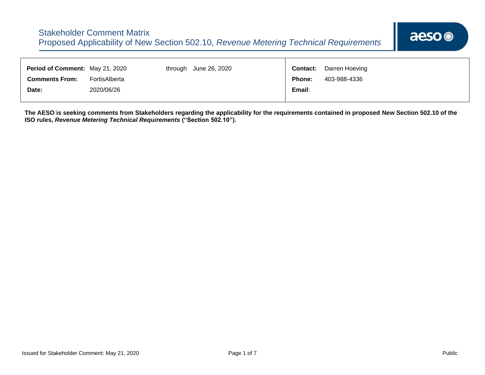| Period of Comment: May 21, 2020 |               | through June 26, 2020 | <b>Contact:</b> | Darren Hoeving |
|---------------------------------|---------------|-----------------------|-----------------|----------------|
| <b>Comments From:</b>           | FortisAlberta |                       | <b>Phone:</b>   | 403-988-4336   |
| Date:                           | 2020/06/26    |                       | Email:          |                |
|                                 |               |                       |                 |                |

**The AESO is seeking comments from Stakeholders regarding the applicability for the requirements contained in proposed New Section 502.10 of the ISO rules,** *Revenue Metering Technical Requirements* **("Section 502.10").**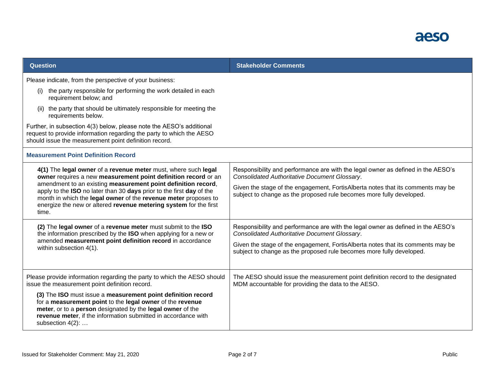| <b>Question</b>                                                                                                                                                                                                                                                               | <b>Stakeholder Comments</b>                                                                                                                                                                                                                                                                  |  |
|-------------------------------------------------------------------------------------------------------------------------------------------------------------------------------------------------------------------------------------------------------------------------------|----------------------------------------------------------------------------------------------------------------------------------------------------------------------------------------------------------------------------------------------------------------------------------------------|--|
| Please indicate, from the perspective of your business:                                                                                                                                                                                                                       |                                                                                                                                                                                                                                                                                              |  |
| the party responsible for performing the work detailed in each<br>(i)<br>requirement below; and                                                                                                                                                                               |                                                                                                                                                                                                                                                                                              |  |
| (ii) the party that should be ultimately responsible for meeting the<br>requirements below.                                                                                                                                                                                   |                                                                                                                                                                                                                                                                                              |  |
| Further, in subsection 4(3) below, please note the AESO's additional<br>request to provide information regarding the party to which the AESO<br>should issue the measurement point definition record.                                                                         |                                                                                                                                                                                                                                                                                              |  |
| <b>Measurement Point Definition Record</b>                                                                                                                                                                                                                                    |                                                                                                                                                                                                                                                                                              |  |
| 4(1) The legal owner of a revenue meter must, where such legal<br>owner requires a new measurement point definition record or an<br>amendment to an existing measurement point definition record,<br>apply to the ISO no later than 30 days prior to the first day of the     | Responsibility and performance are with the legal owner as defined in the AESO's<br>Consolidated Authoritative Document Glossary.<br>Given the stage of the engagement, FortisAlberta notes that its comments may be<br>subject to change as the proposed rule becomes more fully developed. |  |
| month in which the legal owner of the revenue meter proposes to<br>energize the new or altered revenue metering system for the first<br>time.                                                                                                                                 |                                                                                                                                                                                                                                                                                              |  |
| (2) The legal owner of a revenue meter must submit to the ISO<br>the information prescribed by the ISO when applying for a new or                                                                                                                                             | Responsibility and performance are with the legal owner as defined in the AESO's<br>Consolidated Authoritative Document Glossary.                                                                                                                                                            |  |
| amended measurement point definition record in accordance<br>within subsection 4(1).                                                                                                                                                                                          | Given the stage of the engagement, FortisAlberta notes that its comments may be<br>subject to change as the proposed rule becomes more fully developed.                                                                                                                                      |  |
| Please provide information regarding the party to which the AESO should<br>issue the measurement point definition record.                                                                                                                                                     | The AESO should issue the measurement point definition record to the designated<br>MDM accountable for providing the data to the AESO.                                                                                                                                                       |  |
| (3) The ISO must issue a measurement point definition record<br>for a measurement point to the legal owner of the revenue<br>meter, or to a person designated by the legal owner of the<br>revenue meter, if the information submitted in accordance with<br>subsection 4(2): |                                                                                                                                                                                                                                                                                              |  |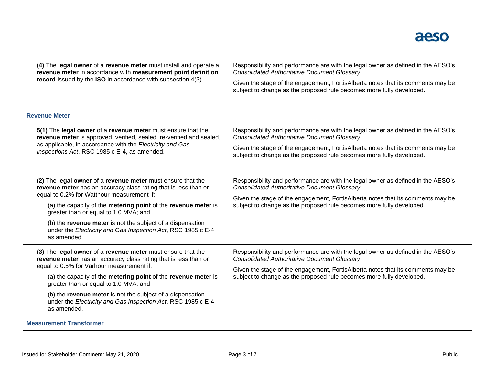| (4) The legal owner of a revenue meter must install and operate a<br>revenue meter in accordance with measurement point definition<br>record issued by the ISO in accordance with subsection 4(3)                                                                                                                                                                                                                                     | Responsibility and performance are with the legal owner as defined in the AESO's<br>Consolidated Authoritative Document Glossary.<br>Given the stage of the engagement, FortisAlberta notes that its comments may be<br>subject to change as the proposed rule becomes more fully developed. |
|---------------------------------------------------------------------------------------------------------------------------------------------------------------------------------------------------------------------------------------------------------------------------------------------------------------------------------------------------------------------------------------------------------------------------------------|----------------------------------------------------------------------------------------------------------------------------------------------------------------------------------------------------------------------------------------------------------------------------------------------|
| <b>Revenue Meter</b>                                                                                                                                                                                                                                                                                                                                                                                                                  |                                                                                                                                                                                                                                                                                              |
| 5(1) The legal owner of a revenue meter must ensure that the<br>revenue meter is approved, verified, sealed, re-verified and sealed,<br>as applicable, in accordance with the Electricity and Gas<br>Inspections Act, RSC 1985 c E-4, as amended.                                                                                                                                                                                     | Responsibility and performance are with the legal owner as defined in the AESO's<br>Consolidated Authoritative Document Glossary.<br>Given the stage of the engagement, FortisAlberta notes that its comments may be<br>subject to change as the proposed rule becomes more fully developed. |
| (2) The legal owner of a revenue meter must ensure that the<br>revenue meter has an accuracy class rating that is less than or<br>equal to 0.2% for Watthour measurement if:<br>(a) the capacity of the metering point of the revenue meter is<br>greater than or equal to 1.0 MVA; and<br>(b) the revenue meter is not the subject of a dispensation<br>under the Electricity and Gas Inspection Act, RSC 1985 c E-4,<br>as amended. | Responsibility and performance are with the legal owner as defined in the AESO's<br>Consolidated Authoritative Document Glossary.<br>Given the stage of the engagement, FortisAlberta notes that its comments may be<br>subject to change as the proposed rule becomes more fully developed. |
| (3) The legal owner of a revenue meter must ensure that the<br>revenue meter has an accuracy class rating that is less than or<br>equal to 0.5% for Varhour measurement if:<br>(a) the capacity of the metering point of the revenue meter is<br>greater than or equal to 1.0 MVA; and<br>(b) the revenue meter is not the subject of a dispensation<br>under the Electricity and Gas Inspection Act, RSC 1985 c E-4,<br>as amended.  | Responsibility and performance are with the legal owner as defined in the AESO's<br>Consolidated Authoritative Document Glossary.<br>Given the stage of the engagement, FortisAlberta notes that its comments may be<br>subject to change as the proposed rule becomes more fully developed. |
| <b>Measurement Transformer</b>                                                                                                                                                                                                                                                                                                                                                                                                        |                                                                                                                                                                                                                                                                                              |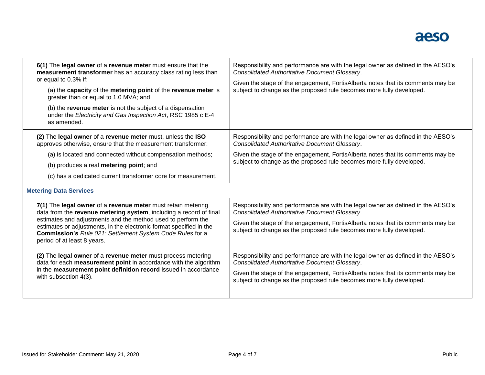| 6(1) The legal owner of a revenue meter must ensure that the<br>measurement transformer has an accuracy class rating less than<br>or equal to 0.3% if:<br>(a) the capacity of the metering point of the revenue meter is<br>greater than or equal to 1.0 MVA; and<br>(b) the revenue meter is not the subject of a dispensation<br>under the Electricity and Gas Inspection Act, RSC 1985 c E-4,<br>as amended. | Responsibility and performance are with the legal owner as defined in the AESO's<br>Consolidated Authoritative Document Glossary.<br>Given the stage of the engagement, FortisAlberta notes that its comments may be<br>subject to change as the proposed rule becomes more fully developed. |  |
|-----------------------------------------------------------------------------------------------------------------------------------------------------------------------------------------------------------------------------------------------------------------------------------------------------------------------------------------------------------------------------------------------------------------|----------------------------------------------------------------------------------------------------------------------------------------------------------------------------------------------------------------------------------------------------------------------------------------------|--|
| (2) The legal owner of a revenue meter must, unless the ISO<br>approves otherwise, ensure that the measurement transformer:                                                                                                                                                                                                                                                                                     | Responsibility and performance are with the legal owner as defined in the AESO's<br>Consolidated Authoritative Document Glossary.                                                                                                                                                            |  |
| (a) is located and connected without compensation methods;                                                                                                                                                                                                                                                                                                                                                      | Given the stage of the engagement, FortisAlberta notes that its comments may be<br>subject to change as the proposed rule becomes more fully developed.                                                                                                                                      |  |
| (b) produces a real metering point; and                                                                                                                                                                                                                                                                                                                                                                         |                                                                                                                                                                                                                                                                                              |  |
| (c) has a dedicated current transformer core for measurement.                                                                                                                                                                                                                                                                                                                                                   |                                                                                                                                                                                                                                                                                              |  |
| <b>Metering Data Services</b>                                                                                                                                                                                                                                                                                                                                                                                   |                                                                                                                                                                                                                                                                                              |  |
| 7(1) The legal owner of a revenue meter must retain metering<br>data from the revenue metering system, including a record of final<br>estimates and adjustments and the method used to perform the<br>estimates or adjustments, in the electronic format specified in the                                                                                                                                       | Responsibility and performance are with the legal owner as defined in the AESO's<br>Consolidated Authoritative Document Glossary.<br>Given the stage of the engagement, FortisAlberta notes that its comments may be                                                                         |  |
| <b>Commission's Rule 021: Settlement System Code Rules for a</b><br>period of at least 8 years.                                                                                                                                                                                                                                                                                                                 | subject to change as the proposed rule becomes more fully developed.                                                                                                                                                                                                                         |  |
| (2) The legal owner of a revenue meter must process metering<br>data for each measurement point in accordance with the algorithm                                                                                                                                                                                                                                                                                | Responsibility and performance are with the legal owner as defined in the AESO's<br>Consolidated Authoritative Document Glossary.                                                                                                                                                            |  |
| in the measurement point definition record issued in accordance<br>with subsection 4(3).                                                                                                                                                                                                                                                                                                                        | Given the stage of the engagement, FortisAlberta notes that its comments may be<br>subject to change as the proposed rule becomes more fully developed.                                                                                                                                      |  |
|                                                                                                                                                                                                                                                                                                                                                                                                                 |                                                                                                                                                                                                                                                                                              |  |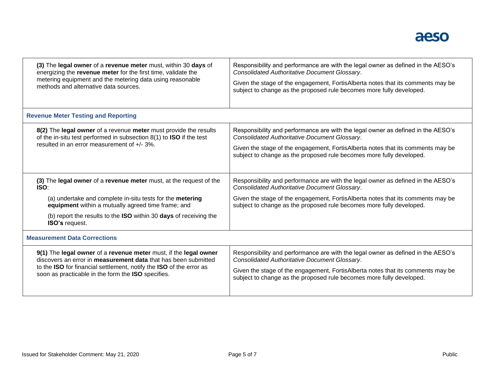| (3) The legal owner of a revenue meter must, within 30 days of                      | Responsibility and performance are with the legal owner as defined in the AESO's |
|-------------------------------------------------------------------------------------|----------------------------------------------------------------------------------|
| energizing the revenue meter for the first time, validate the                       | Consolidated Authoritative Document Glossary.                                    |
| metering equipment and the metering data using reasonable                           | Given the stage of the engagement, FortisAlberta notes that its comments may be  |
| methods and alternative data sources.                                               | subject to change as the proposed rule becomes more fully developed.             |
| <b>Revenue Meter Testing and Reporting</b>                                          |                                                                                  |
| 8(2) The legal owner of a revenue meter must provide the results                    | Responsibility and performance are with the legal owner as defined in the AESO's |
| of the in-situ test performed in subsection $8(1)$ to <b>ISO</b> if the test        | Consolidated Authoritative Document Glossary.                                    |
| resulted in an error measurement of +/- 3%.                                         | Given the stage of the engagement, FortisAlberta notes that its comments may be  |
|                                                                                     | subject to change as the proposed rule becomes more fully developed.             |
| (3) The legal owner of a revenue meter must, at the request of the                  | Responsibility and performance are with the legal owner as defined in the AESO's |
| <b>ISO:</b>                                                                         | Consolidated Authoritative Document Glossary.                                    |
| (a) undertake and complete in-situ tests for the metering                           | Given the stage of the engagement, FortisAlberta notes that its comments may be  |
| equipment within a mutually agreed time frame; and                                  | subject to change as the proposed rule becomes more fully developed.             |
| (b) report the results to the ISO within 30 days of receiving the<br>ISO's request. |                                                                                  |
| <b>Measurement Data Corrections</b>                                                 |                                                                                  |
| 9(1) The legal owner of a revenue meter must, if the legal owner                    | Responsibility and performance are with the legal owner as defined in the AESO's |
| discovers an error in <b>measurement data</b> that has been submitted               | Consolidated Authoritative Document Glossary.                                    |
| to the ISO for financial settlement, notify the ISO of the error as                 | Given the stage of the engagement, FortisAlberta notes that its comments may be  |
| soon as practicable in the form the ISO specifies.                                  | subject to change as the proposed rule becomes more fully developed.             |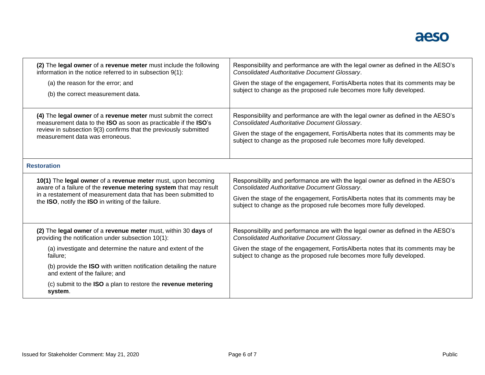| (2) The legal owner of a revenue meter must include the following                                    | Responsibility and performance are with the legal owner as defined in the AESO's |
|------------------------------------------------------------------------------------------------------|----------------------------------------------------------------------------------|
| information in the notice referred to in subsection 9(1):                                            | Consolidated Authoritative Document Glossary.                                    |
| (a) the reason for the error; and                                                                    | Given the stage of the engagement, FortisAlberta notes that its comments may be  |
| (b) the correct measurement data.                                                                    | subject to change as the proposed rule becomes more fully developed.             |
| (4) The legal owner of a revenue meter must submit the correct                                       | Responsibility and performance are with the legal owner as defined in the AESO's |
| measurement data to the ISO as soon as practicable if the ISO's                                      | Consolidated Authoritative Document Glossary.                                    |
| review in subsection 9(3) confirms that the previously submitted                                     | Given the stage of the engagement, FortisAlberta notes that its comments may be  |
| measurement data was erroneous.                                                                      | subject to change as the proposed rule becomes more fully developed.             |
| <b>Restoration</b>                                                                                   |                                                                                  |
| 10(1) The legal owner of a revenue meter must, upon becoming                                         | Responsibility and performance are with the legal owner as defined in the AESO's |
| aware of a failure of the revenue metering system that may result                                    | Consolidated Authoritative Document Glossary.                                    |
| in a restatement of measurement data that has been submitted to                                      | Given the stage of the engagement, FortisAlberta notes that its comments may be  |
| the ISO, notify the ISO in writing of the failure.                                                   | subject to change as the proposed rule becomes more fully developed.             |
| (2) The legal owner of a revenue meter must, within 30 days of                                       | Responsibility and performance are with the legal owner as defined in the AESO's |
| providing the notification under subsection 10(1):                                                   | <b>Consolidated Authoritative Document Glossary.</b>                             |
| (a) investigate and determine the nature and extent of the                                           | Given the stage of the engagement, FortisAlberta notes that its comments may be  |
| failure;                                                                                             | subject to change as the proposed rule becomes more fully developed.             |
| (b) provide the ISO with written notification detailing the nature<br>and extent of the failure; and |                                                                                  |
| (c) submit to the ISO a plan to restore the revenue metering<br>system.                              |                                                                                  |